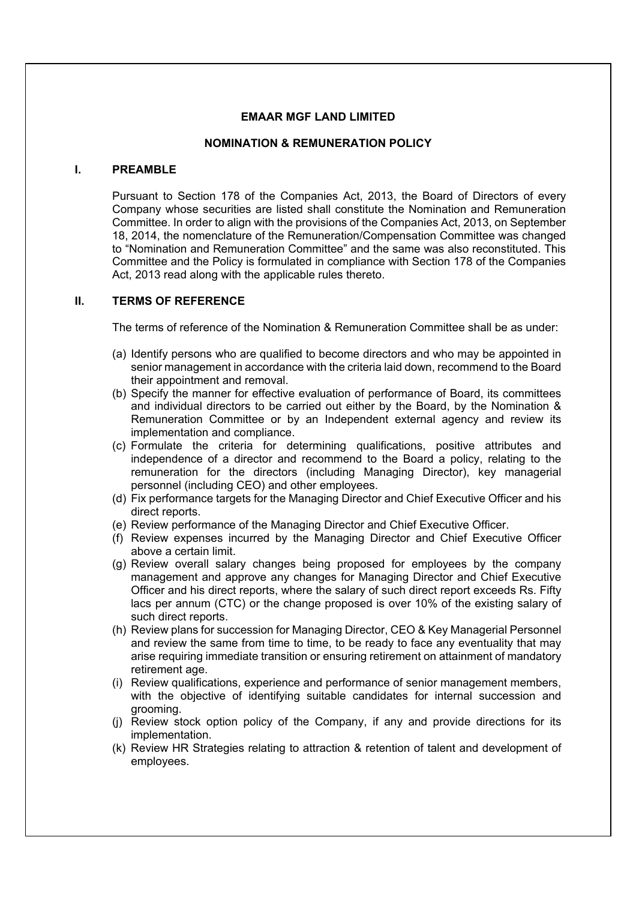#### **EMAAR MGF LAND LIMITED**

#### **NOMINATION & REMUNERATION POLICY**

## **I. PREAMBLE**

Pursuant to Section 178 of the Companies Act, 2013, the Board of Directors of every Company whose securities are listed shall constitute the Nomination and Remuneration Committee. In order to align with the provisions of the Companies Act, 2013, on September 18, 2014, the nomenclature of the Remuneration/Compensation Committee was changed to "Nomination and Remuneration Committee" and the same was also reconstituted. This Committee and the Policy is formulated in compliance with Section 178 of the Companies Act, 2013 read along with the applicable rules thereto.

# **II. TERMS OF REFERENCE**

The terms of reference of the Nomination & Remuneration Committee shall be as under:

- (a) Identify persons who are qualified to become directors and who may be appointed in senior management in accordance with the criteria laid down, recommend to the Board their appointment and removal.
- (b) Specify the manner for effective evaluation of performance of Board, its committees and individual directors to be carried out either by the Board, by the Nomination & Remuneration Committee or by an Independent external agency and review its implementation and compliance.
- (c) Formulate the criteria for determining qualifications, positive attributes and independence of a director and recommend to the Board a policy, relating to the remuneration for the directors (including Managing Director), key managerial personnel (including CEO) and other employees.
- (d) Fix performance targets for the Managing Director and Chief Executive Officer and his direct reports.
- (e) Review performance of the Managing Director and Chief Executive Officer.
- (f) Review expenses incurred by the Managing Director and Chief Executive Officer above a certain limit.
- (g) Review overall salary changes being proposed for employees by the company management and approve any changes for Managing Director and Chief Executive Officer and his direct reports, where the salary of such direct report exceeds Rs. Fifty lacs per annum (CTC) or the change proposed is over 10% of the existing salary of such direct reports.
- (h) Review plans for succession for Managing Director, CEO & Key Managerial Personnel and review the same from time to time, to be ready to face any eventuality that may arise requiring immediate transition or ensuring retirement on attainment of mandatory retirement age.
- (i) Review qualifications, experience and performance of senior management members, with the objective of identifying suitable candidates for internal succession and grooming.
- (j) Review stock option policy of the Company, if any and provide directions for its implementation.
- (k) Review HR Strategies relating to attraction & retention of talent and development of employees.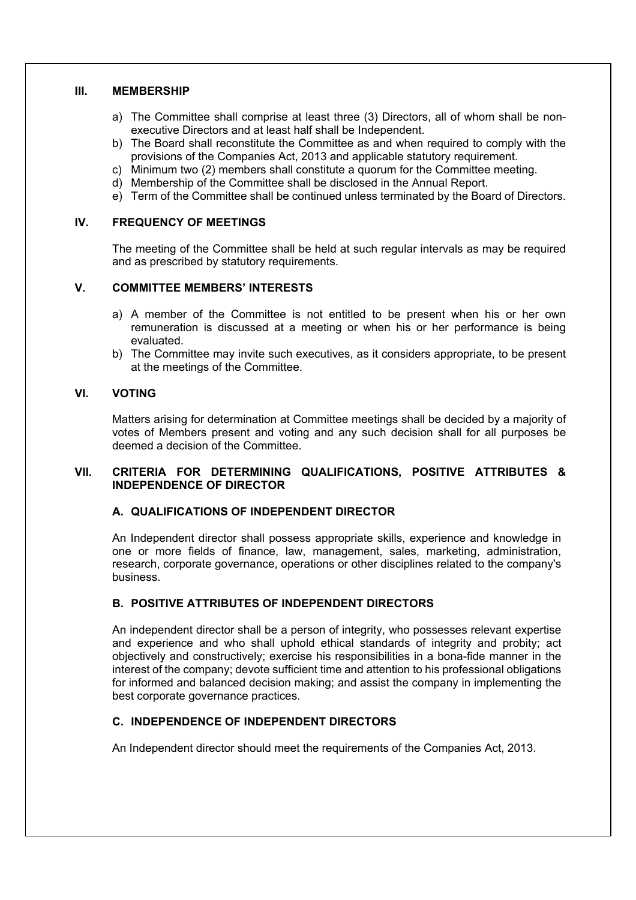#### **III. MEMBERSHIP**

- a) The Committee shall comprise at least three (3) Directors, all of whom shall be nonexecutive Directors and at least half shall be Independent.
- b) The Board shall reconstitute the Committee as and when required to comply with the provisions of the Companies Act, 2013 and applicable statutory requirement.
- c) Minimum two (2) members shall constitute a quorum for the Committee meeting.
- d) Membership of the Committee shall be disclosed in the Annual Report.
- e) Term of the Committee shall be continued unless terminated by the Board of Directors.

#### **IV. FREQUENCY OF MEETINGS**

The meeting of the Committee shall be held at such regular intervals as may be required and as prescribed by statutory requirements.

# **V. COMMITTEE MEMBERS' INTERESTS**

- a) A member of the Committee is not entitled to be present when his or her own remuneration is discussed at a meeting or when his or her performance is being evaluated.
- b) The Committee may invite such executives, as it considers appropriate, to be present at the meetings of the Committee.

## **VI. VOTING**

Matters arising for determination at Committee meetings shall be decided by a majority of votes of Members present and voting and any such decision shall for all purposes be deemed a decision of the Committee.

## **VII. CRITERIA FOR DETERMINING QUALIFICATIONS, POSITIVE ATTRIBUTES & INDEPENDENCE OF DIRECTOR**

# **A. QUALIFICATIONS OF INDEPENDENT DIRECTOR**

An Independent director shall possess appropriate skills, experience and knowledge in one or more fields of finance, law, management, sales, marketing, administration, research, corporate governance, operations or other disciplines related to the company's business.

## **B. POSITIVE ATTRIBUTES OF INDEPENDENT DIRECTORS**

An independent director shall be a person of integrity, who possesses relevant expertise and experience and who shall uphold ethical standards of integrity and probity; act objectively and constructively; exercise his responsibilities in a bona-fide manner in the interest of the company; devote sufficient time and attention to his professional obligations for informed and balanced decision making; and assist the company in implementing the best corporate governance practices.

## **C. INDEPENDENCE OF INDEPENDENT DIRECTORS**

An Independent director should meet the requirements of the Companies Act, 2013.